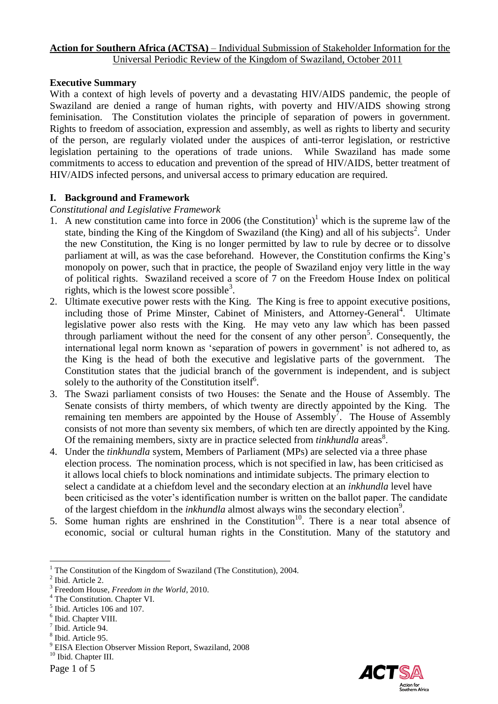### **Action for Southern Africa (ACTSA)** – Individual Submission of Stakeholder Information for the Universal Periodic Review of the Kingdom of Swaziland, October 2011

### **Executive Summary**

With a context of high levels of poverty and a devastating HIV/AIDS pandemic, the people of Swaziland are denied a range of human rights, with poverty and HIV/AIDS showing strong feminisation. The Constitution violates the principle of separation of powers in government. Rights to freedom of association, expression and assembly, as well as rights to liberty and security of the person, are regularly violated under the auspices of anti-terror legislation, or restrictive legislation pertaining to the operations of trade unions. While Swaziland has made some commitments to access to education and prevention of the spread of HIV/AIDS, better treatment of HIV/AIDS infected persons, and universal access to primary education are required.

### **I. Background and Framework**

### *Constitutional and Legislative Framework*

- 1. A new constitution came into force in 2006 (the Constitution)<sup>1</sup> which is the supreme law of the state, binding the King of the Kingdom of Swaziland (the King) and all of his subjects<sup>2</sup>. Under the new Constitution, the King is no longer permitted by law to rule by decree or to dissolve parliament at will, as was the case beforehand. However, the Constitution confirms the King"s monopoly on power, such that in practice, the people of Swaziland enjoy very little in the way of political rights. Swaziland received a score of 7 on the Freedom House Index on political rights, which is the lowest score possible<sup>3</sup>.
- 2. Ultimate executive power rests with the King. The King is free to appoint executive positions, including those of Prime Minster, Cabinet of Ministers, and Attorney-General<sup>4</sup>. Ultimate legislative power also rests with the King. He may veto any law which has been passed through parliament without the need for the consent of any other person<sup>5</sup>. Consequently, the international legal norm known as 'separation of powers in government' is not adhered to, as the King is the head of both the executive and legislative parts of the government. The Constitution states that the judicial branch of the government is independent, and is subject solely to the authority of the Constitution itself<sup>6</sup>.
- 3. The Swazi parliament consists of two Houses: the Senate and the House of Assembly. The Senate consists of thirty members, of which twenty are directly appointed by the King. The remaining ten members are appointed by the House of Assembly<sup>7</sup>. The House of Assembly consists of not more than seventy six members, of which ten are directly appointed by the King. Of the remaining members, sixty are in practice selected from *tinkhundla* areas<sup>8</sup>.
- 4. Under the *tinkhundla* system, Members of Parliament (MPs) are selected via a three phase election process. The nomination process, which is not specified in law, has been criticised as it allows local chiefs to block nominations and intimidate subjects. The primary election to select a candidate at a chiefdom level and the secondary election at an *inkhundla* level have been criticised as the voter's identification number is written on the ballot paper. The candidate of the largest chiefdom in the *inkhundla* almost always wins the secondary election<sup>9</sup>.
- 5. Some human rights are enshrined in the Constitution<sup>10</sup>. There is a near total absence of economic, social or cultural human rights in the Constitution. Many of the statutory and



 $1$  The Constitution of the Kingdom of Swaziland (The Constitution), 2004.

<sup>&</sup>lt;sup>2</sup> Ibid. Article 2.

<sup>3</sup> Freedom House, *Freedom in the World*, 2010.

<sup>4</sup> The Constitution. Chapter VI.

<sup>5</sup> Ibid. Articles 106 and 107.

<sup>&</sup>lt;sup>6</sup> Ibid. Chapter VIII.

<sup>7</sup> Ibid. Article 94.

<sup>8</sup> Ibid. Article 95.

<sup>9</sup> EISA Election Observer Mission Report, Swaziland, 2008

<sup>&</sup>lt;sup>10</sup> Ibid. Chapter III.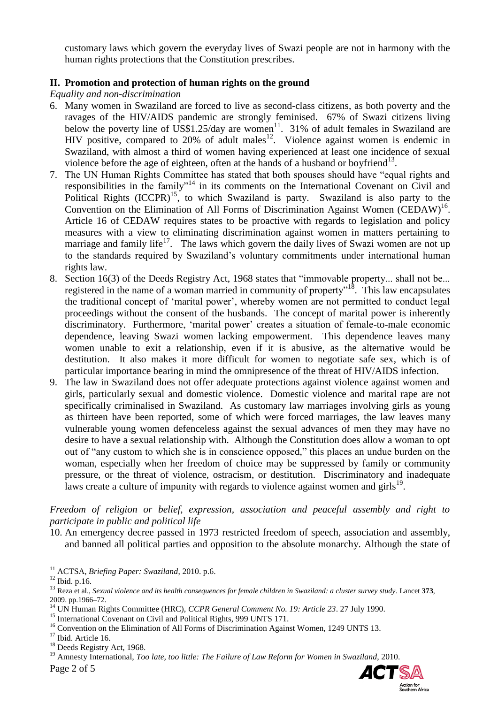customary laws which govern the everyday lives of Swazi people are not in harmony with the human rights protections that the Constitution prescribes.

# **II. Promotion and protection of human rights on the ground**

*Equality and non-discrimination*

- 6. Many women in Swaziland are forced to live as second-class citizens, as both poverty and the ravages of the HIV/AIDS pandemic are strongly feminised. 67% of Swazi citizens living below the poverty line of US\$1.25/day are women<sup>11</sup>. 31% of adult females in Swaziland are HIV positive, compared to 20% of adult males<sup>12</sup>. Violence against women is endemic in Swaziland, with almost a third of women having experienced at least one incidence of sexual violence before the age of eighteen, often at the hands of a husband or boyfriend $^{13}$ .
- 7. The UN Human Rights Committee has stated that both spouses should have "equal rights and responsibilities in the family"<sup>14</sup> in its comments on the International Covenant on Civil and Political Rights  $(ICCPR)^{15}$ , to which Swaziland is party. Swaziland is also party to the Convention on the Elimination of All Forms of Discrimination Against Women (CEDAW)<sup>16</sup>. Article 16 of CEDAW requires states to be proactive with regards to legislation and policy measures with a view to eliminating discrimination against women in matters pertaining to marriage and family life<sup>17</sup>. The laws which govern the daily lives of Swazi women are not up to the standards required by Swaziland"s voluntary commitments under international human rights law.
- 8. Section 16(3) of the Deeds Registry Act, 1968 states that "immovable property... shall not be... registered in the name of a woman married in community of property"<sup>18</sup>. This law encapsulates the traditional concept of "marital power", whereby women are not permitted to conduct legal proceedings without the consent of the husbands. The concept of marital power is inherently discriminatory. Furthermore, "marital power" creates a situation of female-to-male economic dependence, leaving Swazi women lacking empowerment. This dependence leaves many women unable to exit a relationship, even if it is abusive, as the alternative would be destitution. It also makes it more difficult for women to negotiate safe sex, which is of particular importance bearing in mind the omnipresence of the threat of HIV/AIDS infection.
- 9. The law in Swaziland does not offer adequate protections against violence against women and girls, particularly sexual and domestic violence. Domestic violence and marital rape are not specifically criminalised in Swaziland. As customary law marriages involving girls as young as thirteen have been reported, some of which were forced marriages, the law leaves many vulnerable young women defenceless against the sexual advances of men they may have no desire to have a sexual relationship with. Although the Constitution does allow a woman to opt out of "any custom to which she is in conscience opposed," this places an undue burden on the woman, especially when her freedom of choice may be suppressed by family or community pressure, or the threat of violence, ostracism, or destitution. Discriminatory and inadequate laws create a culture of impunity with regards to violence against women and  $girls<sup>19</sup>$ .

### *Freedom of religion or belief, expression, association and peaceful assembly and right to participate in public and political life*

10. An emergency decree passed in 1973 restricted freedom of speech, association and assembly, and banned all political parties and opposition to the absolute monarchy. Although the state of

Page 2 of 5 <sup>19</sup> Amnesty International, *Too late, too little: The Failure of Law Reform for Women in Swaziland*, 2010.



<sup>11</sup> ACTSA, *Briefing Paper: Swaziland*, 2010. p.6.

<sup>12</sup> Ibid. p.16.

<sup>13</sup> Reza et al., *Sexual violence and its health consequences for female children in Swaziland: a cluster survey study*. Lancet **373**, 2009. pp.1966–72.

<sup>14</sup> UN Human Rights Committee (HRC), *CCPR General Comment No. 19: Article 23*. 27 July 1990.

<sup>&</sup>lt;sup>15</sup> International Covenant on Civil and Political Rights, 999 UNTS 171.

<sup>&</sup>lt;sup>16</sup> Convention on the Elimination of All Forms of Discrimination Against Women, 1249 UNTS 13.

<sup>&</sup>lt;sup>17</sup> Ibid. Article 16.

<sup>&</sup>lt;sup>18</sup> Deeds Registry Act, 1968.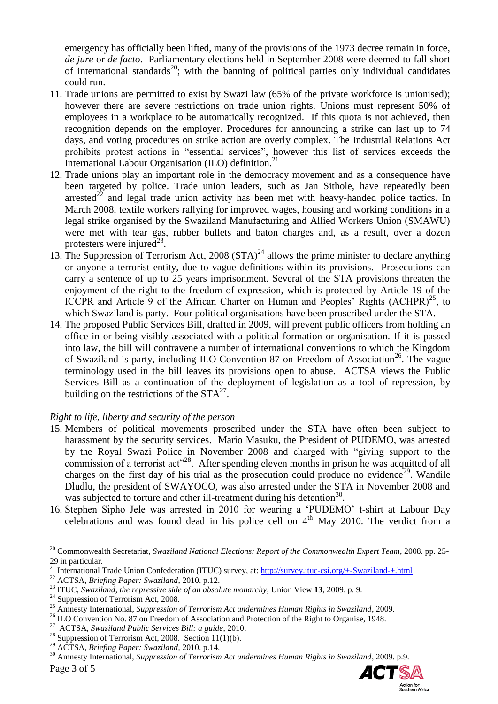emergency has officially been lifted, many of the provisions of the 1973 decree remain in force, *de jure* or *de facto*. Parliamentary elections held in September 2008 were deemed to fall short of international standards<sup>20</sup>; with the banning of political parties only individual candidates could run.

- 11. Trade unions are permitted to exist by Swazi law (65% of the private workforce is unionised); however there are severe restrictions on trade union rights. Unions must represent 50% of employees in a workplace to be automatically recognized. If this quota is not achieved, then recognition depends on the employer. Procedures for announcing a strike can last up to 74 days, and voting procedures on strike action are overly complex. The Industrial Relations Act prohibits protest actions in "essential services", however this list of services exceeds the International Labour Organisation (ILO) definition.<sup>21</sup>
- 12. Trade unions play an important role in the democracy movement and as a consequence have been targeted by police. Trade union leaders, such as Jan Sithole, have repeatedly been arrested<sup>22</sup> and legal trade union activity has been met with heavy-handed police tactics. In March 2008, textile workers rallying for improved wages, housing and working conditions in a legal strike organised by the Swaziland Manufacturing and Allied Workers Union (SMAWU) were met with tear gas, rubber bullets and baton charges and, as a result, over a dozen protesters were injured<sup>23</sup>.
- 13. The Suppression of Terrorism Act, 2008 (STA)<sup>24</sup> allows the prime minister to declare anything or anyone a terrorist entity, due to vague definitions within its provisions. Prosecutions can carry a sentence of up to 25 years imprisonment. Several of the STA provisions threaten the enjoyment of the right to the freedom of expression, which is protected by Article 19 of the ICCPR and Article 9 of the African Charter on Human and Peoples' Rights  $(ACHPR)^{25}$ , to which Swaziland is party. Four political organisations have been proscribed under the STA.
- 14. The proposed Public Services Bill, drafted in 2009, will prevent public officers from holding an office in or being visibly associated with a political formation or organisation. If it is passed into law, the bill will contravene a number of international conventions to which the Kingdom of Swaziland is party, including ILO Convention 87 on Freedom of Association<sup>26</sup>. The vague terminology used in the bill leaves its provisions open to abuse. ACTSA views the Public Services Bill as a continuation of the deployment of legislation as a tool of repression, by building on the restrictions of the  $STA^{27}$ .

# *Right to life, liberty and security of the person*

- 15. Members of political movements proscribed under the STA have often been subject to harassment by the security services. Mario Masuku, the President of PUDEMO, was arrested by the Royal Swazi Police in November 2008 and charged with "giving support to the commission of a terrorist act"<sup>28</sup>. After spending eleven months in prison he was acquitted of all charges on the first day of his trial as the prosecution could produce no evidence<sup>29</sup>. Wandile Dludlu, the president of SWAYOCO, was also arrested under the STA in November 2008 and was subjected to torture and other ill-treatment during his detention<sup>30</sup>.
- 16. Stephen Sipho Jele was arrested in 2010 for wearing a "PUDEMO" t-shirt at Labour Day celebrations and was found dead in his police cell on  $4<sup>th</sup>$  May 2010. The verdict from a



<sup>20</sup> Commonwealth Secretariat, *Swaziland National Elections: Report of the Commonwealth Expert Team*, 2008. pp. 25- 29 in particular.

<sup>&</sup>lt;sup>21</sup> International Trade Union Confederation (ITUC) survey, at:<http://survey.ituc-csi.org/+-Swaziland-+.html>

<sup>22</sup> ACTSA, *Briefing Paper: Swaziland*, 2010. p.12.

<sup>23</sup> ITUC, *Swaziland, the repressive side of an absolute monarchy*, Union View **13**, 2009. p. 9.

 $24$  Suppression of Terrorism Act, 2008.

<sup>25</sup> Amnesty International, *Suppression of Terrorism Act undermines Human Rights in Swaziland*, 2009.

<sup>&</sup>lt;sup>26</sup> ILO Convention No. 87 on Freedom of Association and Protection of the Right to Organise, 1948.

<sup>27</sup> ACTSA, *Swaziland Public Services Bill: a guide*, 2010.

<sup>&</sup>lt;sup>28</sup> Suppression of Terrorism Act, 2008. Section 11(1)(b).

<sup>29</sup> ACTSA, *Briefing Paper: Swaziland*, 2010. p.14.

<sup>30</sup> Amnesty International, *Suppression of Terrorism Act undermines Human Rights in Swaziland*, 2009. p.9.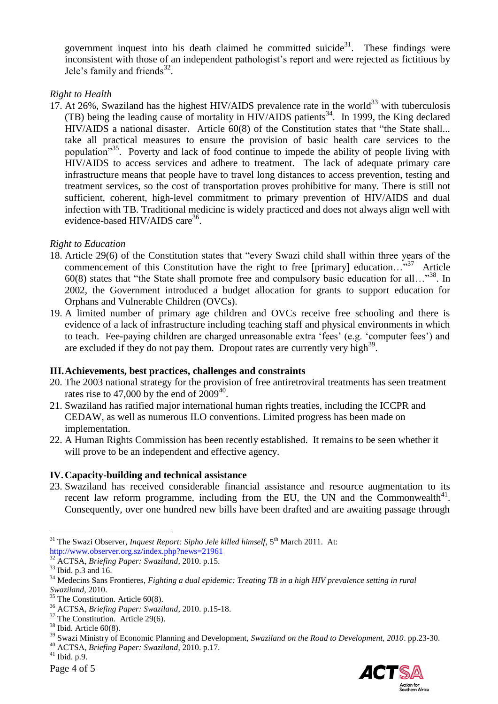government inquest into his death claimed he committed suicide<sup>31</sup>. These findings were inconsistent with those of an independent pathologist"s report and were rejected as fictitious by Jele's family and friends $32$ .

# *Right to Health*

17. At 26%, Swaziland has the highest HIV/AIDS prevalence rate in the world<sup>33</sup> with tuberculosis (TB) being the leading cause of mortality in HIV/AIDS patients<sup>34</sup>. In 1999, the King declared HIV/AIDS a national disaster. Article 60(8) of the Constitution states that "the State shall... take all practical measures to ensure the provision of basic health care services to the population<sup>35</sup>. Poverty and lack of food continue to impede the ability of people living with HIV/AIDS to access services and adhere to treatment. The lack of adequate primary care infrastructure means that people have to travel long distances to access prevention, testing and treatment services, so the cost of transportation proves prohibitive for many. There is still not sufficient, coherent, high-level commitment to primary prevention of HIV/AIDS and dual infection with TB. Traditional medicine is widely practiced and does not always align well with evidence-based HIV/AIDS care<sup>36</sup>.

### *Right to Education*

- 18. Article 29(6) of the Constitution states that "every Swazi child shall within three years of the commencement of this Constitution have the right to free [primary] education... $\cdot$ <sup>37</sup> Article 60(8) states that "the State shall promote free and compulsory basic education for all…" <sup>38</sup>. In 2002, the Government introduced a budget allocation for grants to support education for Orphans and Vulnerable Children (OVCs).
- 19. A limited number of primary age children and OVCs receive free schooling and there is evidence of a lack of infrastructure including teaching staff and physical environments in which to teach. Fee-paying children are charged unreasonable extra "fees" (e.g. "computer fees") and are excluded if they do not pay them. Dropout rates are currently very high<sup>39</sup>.

#### **III.Achievements, best practices, challenges and constraints**

- 20. The 2003 national strategy for the provision of free antiretroviral treatments has seen treatment rates rise to 47,000 by the end of  $2009^{40}$ .
- 21. Swaziland has ratified major international human rights treaties, including the ICCPR and CEDAW, as well as numerous ILO conventions. Limited progress has been made on implementation.
- 22. A Human Rights Commission has been recently established. It remains to be seen whether it will prove to be an independent and effective agency.

# **IV.Capacity-building and technical assistance**

23. Swaziland has received considerable financial assistance and resource augmentation to its recent law reform programme, including from the EU, the UN and the Commonwealth $41$ . Consequently, over one hundred new bills have been drafted and are awaiting passage through



<sup>&</sup>lt;sup>31</sup> The Swazi Observer, *Inquest Report: Sipho Jele killed himself*, 5<sup>th</sup> March 2011. At: [http://www.observer.org.sz/index.php?news=21961](https://pod51007.outlook.com/owa/redir.aspx?C=e63fed2575554d50ae02bc863f7cb4de&URL=http%3a%2f%2fwww.observer.org.sz%2findex.php%3fnews%3d21961)

<sup>32</sup> ACTSA, *Briefing Paper: Swaziland*, 2010. p.15.

 $33$  Ibid. p.3 and 16.

<sup>&</sup>lt;sup>34</sup> Medecins Sans Frontieres, *Fighting a dual epidemic: Treating TB in a high HIV prevalence setting in rural Swaziland*, 2010.

 $35$  The Constitution. Article 60(8).

<sup>36</sup> ACTSA, *Briefing Paper: Swaziland*, 2010. p.15-18.

<sup>&</sup>lt;sup>37</sup> The Constitution. Article 29(6).

 $38$  Ibid. Article 60(8).

<sup>39</sup> Swazi Ministry of Economic Planning and Development, *Swaziland on the Road to Development, 2010*. pp.23-30. <sup>40</sup> ACTSA, *Briefing Paper: Swaziland*, 2010. p.17.

 $41$  Ibid. p.9.